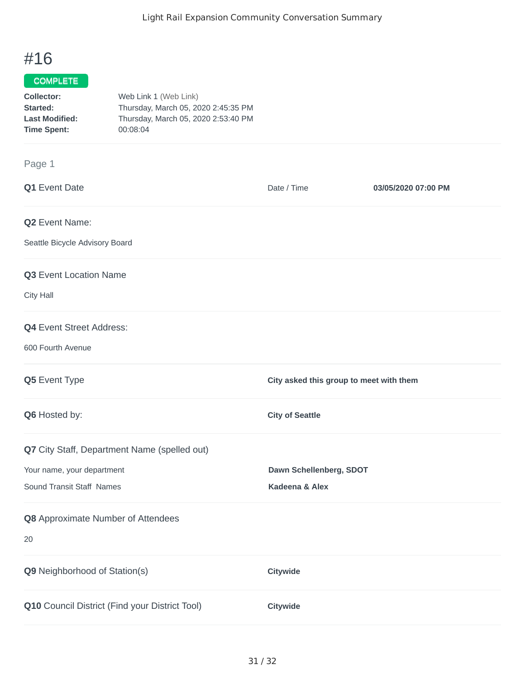## #16

Page 1

## COMPLETE

| Collector:            | Web Link 1 (Web Link)               |
|-----------------------|-------------------------------------|
| Started:              | Thursday, March 05, 2020 2:45:35 PM |
| <b>Last Modified:</b> | Thursday, March 05, 2020 2:53:40 PM |
| Time Spent:           | 00:08:04                            |

## **Q1** Event Date **Date** *Date / Time* **03/05/2020 07:00 PM Q2** Event Name: Seattle Bicycle Advisory Board **Q3** Event Location Name City Hall **Q4** Event Street Address: 600 Fourth Avenue **Q5** Event Type **City asked this group to meet with them Q6** Hosted by: **City of Seattle Q7** City Staff, Department Name (spelled out) Your name, your department **Dawn Schellenberg, SDOT** Sound Transit Staff Names **Kadeena & Alex Q8** Approximate Number of Attendees 20 **Q9** Neighborhood of Station(s) **Citywide Q10** Council District (Find your District Tool) **Citywide**